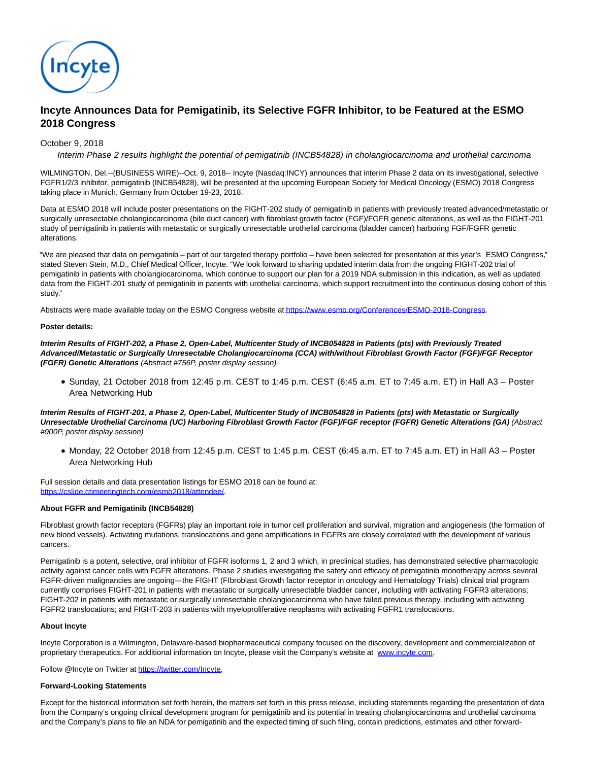

# **Incyte Announces Data for Pemigatinib, its Selective FGFR Inhibitor, to be Featured at the ESMO 2018 Congress**

# October 9, 2018

Interim Phase 2 results highlight the potential of pemigatinib (INCB54828) in cholangiocarcinoma and urothelial carcinoma

WILMINGTON, Del.--(BUSINESS WIRE)--Oct. 9, 2018-- Incyte (Nasdaq:INCY) announces that interim Phase 2 data on its investigational, selective FGFR1/2/3 inhibitor, pemigatinib (INCB54828), will be presented at the upcoming European Society for Medical Oncology (ESMO) 2018 Congress taking place in Munich, Germany from October 19-23, 2018.

Data at ESMO 2018 will include poster presentations on the FIGHT-202 study of pemigatinib in patients with previously treated advanced/metastatic or surgically unresectable cholangiocarcinoma (bile duct cancer) with fibroblast growth factor (FGF)/FGFR genetic alterations, as well as the FIGHT-201 study of pemigatinib in patients with metastatic or surgically unresectable urothelial carcinoma (bladder cancer) harboring FGF/FGFR genetic alterations.

"We are pleased that data on pemigatinib – part of our targeted therapy portfolio – have been selected for presentation at this year's ESMO Congress," stated Steven Stein, M.D., Chief Medical Officer, Incyte. "We look forward to sharing updated interim data from the ongoing FIGHT-202 trial of pemigatinib in patients with cholangiocarcinoma, which continue to support our plan for a 2019 NDA submission in this indication, as well as updated data from the FIGHT-201 study of pemigatinib in patients with urothelial carcinoma, which support recruitment into the continuous dosing cohort of this study."

Abstracts were made available today on the ESMO Congress website a[t https://www.esmo.org/Conferences/ESMO-2018-Congress.](http://cts.businesswire.com/ct/CT?id=smartlink&url=https%3A%2F%2Fwww.esmo.org%2FConferences%2FESMO-2018-Congress&esheet=51880019&newsitemid=20181009005352&lan=en-US&anchor=https%3A%2F%2Fwww.esmo.org%2FConferences%2FESMO-2018-Congress&index=1&md5=2f5f565c27d393479483412dc2397993)

### **Poster details:**

**Interim Results of FIGHT-202, a Phase 2, Open-Label, Multicenter Study of INCB054828 in Patients (pts) with Previously Treated Advanced/Metastatic or Surgically Unresectable Cholangiocarcinoma (CCA) with/without Fibroblast Growth Factor (FGF)/FGF Receptor (FGFR) Genetic Alterations** (Abstract #756P, poster display session)

Sunday, 21 October 2018 from 12:45 p.m. CEST to 1:45 p.m. CEST (6:45 a.m. ET to 7:45 a.m. ET) in Hall A3 – Poster Area Networking Hub

**Interim Results of FIGHT-201**, **a Phase 2, Open-Label, Multicenter Study of INCB054828 in Patients (pts) with Metastatic or Surgically Unresectable Urothelial Carcinoma (UC) Harboring Fibroblast Growth Factor (FGF)/FGF receptor (FGFR) Genetic Alterations (GA)** (Abstract #900P, poster display session)

Monday, 22 October 2018 from 12:45 p.m. CEST to 1:45 p.m. CEST (6:45 a.m. ET to 7:45 a.m. ET) in Hall A3 – Poster Area Networking Hub

Full session details and data presentation listings for ESMO 2018 can be found at: [https://cslide.ctimeetingtech.com/esmo2018/attendee/.](http://cts.businesswire.com/ct/CT?id=smartlink&url=https%3A%2F%2Fcslide.ctimeetingtech.com%2Fesmo2018%2Fattendee%2F&esheet=51880019&newsitemid=20181009005352&lan=en-US&anchor=https%3A%2F%2Fcslide.ctimeetingtech.com%2Fesmo2018%2Fattendee%2F&index=2&md5=139b6d71ef806e159fd65aa532f5e33e)

# **About FGFR and Pemigatinib (INCB54828)**

Fibroblast growth factor receptors (FGFRs) play an important role in tumor cell proliferation and survival, migration and angiogenesis (the formation of new blood vessels). Activating mutations, translocations and gene amplifications in FGFRs are closely correlated with the development of various cancers.

Pemigatinib is a potent, selective, oral inhibitor of FGFR isoforms 1, 2 and 3 which, in preclinical studies, has demonstrated selective pharmacologic activity against cancer cells with FGFR alterations. Phase 2 studies investigating the safety and efficacy of pemigatinib monotherapy across several FGFR-driven malignancies are ongoing—the FIGHT (FIbroblast Growth factor receptor in oncology and Hematology Trials) clinical trial program currently comprises FIGHT-201 in patients with metastatic or surgically unresectable bladder cancer, including with activating FGFR3 alterations; FIGHT-202 in patients with metastatic or surgically unresectable cholangiocarcinoma who have failed previous therapy, including with activating FGFR2 translocations; and FIGHT-203 in patients with myeloproliferative neoplasms with activating FGFR1 translocations.

### **About Incyte**

Incyte Corporation is a Wilmington, Delaware-based biopharmaceutical company focused on the discovery, development and commercialization of proprietary therapeutics. For additional information on Incyte, please visit the Company's website at [www.incyte.com.](http://cts.businesswire.com/ct/CT?id=smartlink&url=http%3A%2F%2Fwww.incyte.com&esheet=51880019&newsitemid=20181009005352&lan=en-US&anchor=www.incyte.com&index=3&md5=5e7ae8687350b94564bc2891a763043d)

Follow @Incyte on Twitter at [https://twitter.com/Incyte.](http://cts.businesswire.com/ct/CT?id=smartlink&url=https%3A%2F%2Ftwitter.com%2FIncyte&esheet=51880019&newsitemid=20181009005352&lan=en-US&anchor=https%3A%2F%2Ftwitter.com%2FIncyte&index=4&md5=da12d4db14bafbde311a33e884233c3b)

# **Forward-Looking Statements**

Except for the historical information set forth herein, the matters set forth in this press release, including statements regarding the presentation of data from the Company's ongoing clinical development program for pemigatinib and its potential in treating cholangiocarcinoma and urothelial carcinoma and the Company's plans to file an NDA for pemigatinib and the expected timing of such filing, contain predictions, estimates and other forward-